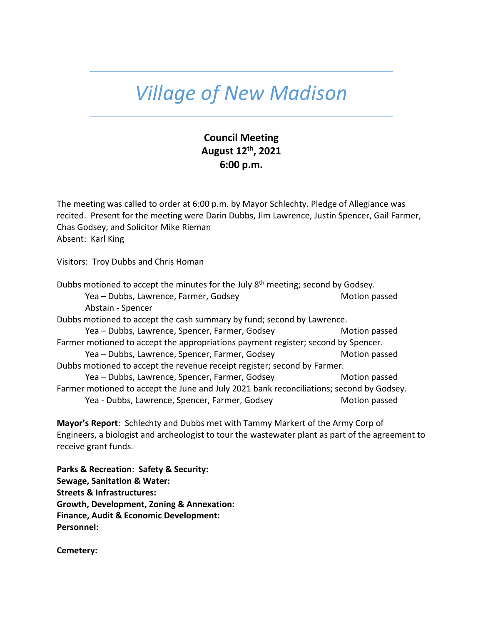## *Village of New Madison*

## **Council Meeting August 12th , 2021 6:00 p.m.**

The meeting was called to order at 6:00 p.m. by Mayor Schlechty. Pledge of Allegiance was recited. Present for the meeting were Darin Dubbs, Jim Lawrence, Justin Spencer, Gail Farmer, Chas Godsey, and Solicitor Mike Rieman Absent: Karl King

Visitors: Troy Dubbs and Chris Homan

Dubbs motioned to accept the minutes for the July 8<sup>th</sup> meeting; second by Godsey. Yea – Dubbs, Lawrence, Farmer, Godsey Motion passed Abstain - Spencer Dubbs motioned to accept the cash summary by fund; second by Lawrence. Yea – Dubbs, Lawrence, Spencer, Farmer, Godsey Motion passed Farmer motioned to accept the appropriations payment register; second by Spencer. Yea – Dubbs, Lawrence, Spencer, Farmer, Godsey Motion passed Dubbs motioned to accept the revenue receipt register; second by Farmer. Yea – Dubbs, Lawrence, Spencer, Farmer, Godsey Motion passed Farmer motioned to accept the June and July 2021 bank reconciliations; second by Godsey. Yea - Dubbs, Lawrence, Spencer, Farmer, Godsey **Motion passed** 

**Mayor's Report**: Schlechty and Dubbs met with Tammy Markert of the Army Corp of Engineers, a biologist and archeologist to tour the wastewater plant as part of the agreement to receive grant funds.

**Parks & Recreation**: **Safety & Security: Sewage, Sanitation & Water: Streets & Infrastructures: Growth, Development, Zoning & Annexation: Finance, Audit & Economic Development: Personnel:** 

**Cemetery:**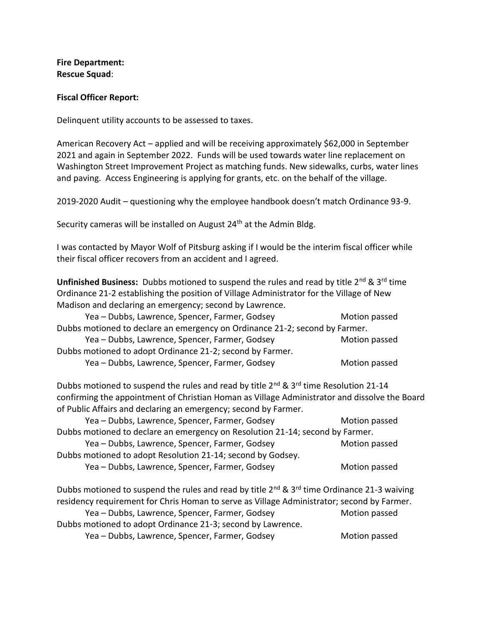**Fire Department: Rescue Squad**:

## **Fiscal Officer Report:**

Delinquent utility accounts to be assessed to taxes.

American Recovery Act – applied and will be receiving approximately \$62,000 in September 2021 and again in September 2022. Funds will be used towards water line replacement on Washington Street Improvement Project as matching funds. New sidewalks, curbs, water lines and paving. Access Engineering is applying for grants, etc. on the behalf of the village.

2019-2020 Audit – questioning why the employee handbook doesn't match Ordinance 93-9.

Security cameras will be installed on August 24<sup>th</sup> at the Admin Bldg.

I was contacted by Mayor Wolf of Pitsburg asking if I would be the interim fiscal officer while their fiscal officer recovers from an accident and I agreed.

**Unfinished Business:** Dubbs motioned to suspend the rules and read by title 2<sup>nd</sup> & 3<sup>rd</sup> time Ordinance 21-2 establishing the position of Village Administrator for the Village of New Madison and declaring an emergency; second by Lawrence.

| Yea - Dubbs, Lawrence, Spencer, Farmer, Godsey                              | Motion passed |  |
|-----------------------------------------------------------------------------|---------------|--|
| Dubbs motioned to declare an emergency on Ordinance 21-2; second by Farmer. |               |  |
| Yea - Dubbs, Lawrence, Spencer, Farmer, Godsey                              | Motion passed |  |
| Dubbs motioned to adopt Ordinance 21-2; second by Farmer.                   |               |  |
| Yea - Dubbs, Lawrence, Spencer, Farmer, Godsey                              | Motion passed |  |

Dubbs motioned to suspend the rules and read by title 2<sup>nd</sup> & 3<sup>rd</sup> time Resolution 21-14 confirming the appointment of Christian Homan as Village Administrator and dissolve the Board of Public Affairs and declaring an emergency; second by Farmer.

| Motion passed                                                                 |  |  |
|-------------------------------------------------------------------------------|--|--|
| Dubbs motioned to declare an emergency on Resolution 21-14; second by Farmer. |  |  |
| Motion passed                                                                 |  |  |
|                                                                               |  |  |
| Motion passed                                                                 |  |  |
|                                                                               |  |  |

Dubbs motioned to suspend the rules and read by title  $2^{nd}$  &  $3^{rd}$  time Ordinance 21-3 waiving residency requirement for Chris Homan to serve as Village Administrator; second by Farmer. Yea – Dubbs, Lawrence, Spencer, Farmer, Godsey Motion passed

Dubbs motioned to adopt Ordinance 21-3; second by Lawrence. Yea – Dubbs, Lawrence, Spencer, Farmer, Godsey Motion passed